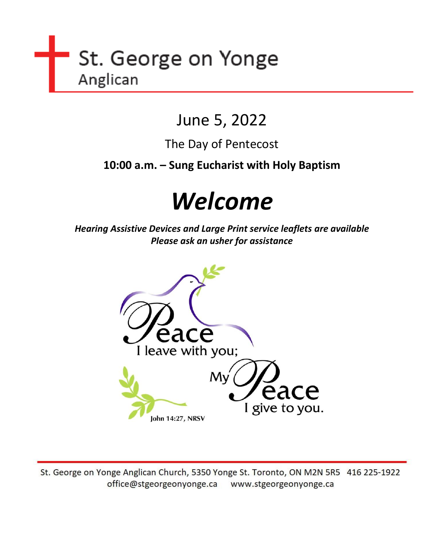

# June 5, 2022

The Day of Pentecost

**10:00 a.m. – Sung Eucharist with Holy Baptism**

# *Welcome*

*Hearing Assistive Devices and Large Print service leaflets are available Please ask an usher for assistance*



St. George on Yonge Anglican Church, 5350 Yonge St. Toronto, ON M2N 5R5 416 225-1922 office@stgeorgeonyonge.ca www.stgeorgeonyonge.ca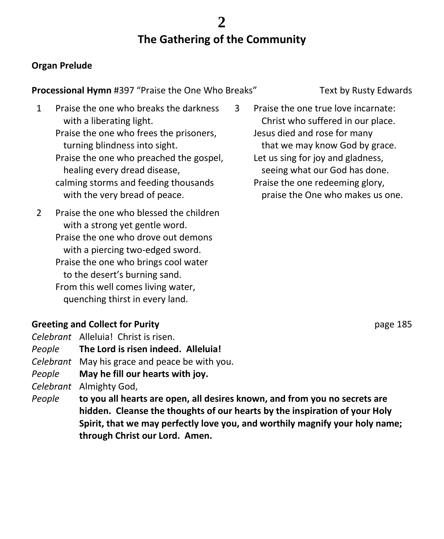### **Organ Prelude**

**Processional Hymn** #397 "Praise the One Who Breaks" Text by Rusty Edwards

- 1 Praise the one who breaks the darkness with a liberating light. Praise the one who frees the prisoners,
	- turning blindness into sight. Praise the one who preached the gospel, healing every dread disease, calming storms and feeding thousands with the very bread of peace.
- 2 Praise the one who blessed the children with a strong yet gentle word. Praise the one who drove out demons with a piercing two-edged sword. Praise the one who brings cool water to the desert's burning sand. From this well comes living water, quenching thirst in every land.
- 3 Praise the one true love incarnate: Christ who suffered in our place. Jesus died and rose for many that we may know God by grace. Let us sing for joy and gladness, seeing what our God has done. Praise the one redeeming glory, praise the One who makes us one.

### **Greeting and Collect for Purity page 185**

*Celebrant* Alleluia! Christ is risen.

- *People* **The Lord is risen indeed. Alleluia!**
- *Celebrant* May his grace and peace be with you.
- *People* **May he fill our hearts with joy.**
- *Celebrant* Almighty God,
- *People* **to you all hearts are open, all desires known, and from you no secrets are hidden. Cleanse the thoughts of our hearts by the inspiration of your Holy Spirit, that we may perfectly love you, and worthily magnify your holy name; through Christ our Lord. Amen.**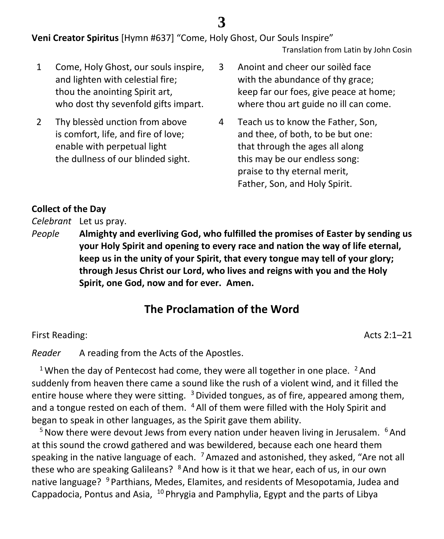**Veni Creator Spiritus** [Hymn #637] "Come, Holy Ghost, Our Souls Inspire"

Translation from Latin by John Cosin

- 1 Come, Holy Ghost, our souls inspire, and lighten with celestial fire; thou the anointing Spirit art, who dost thy sevenfold gifts impart.
- 2 Thy blessèd unction from above is comfort, life, and fire of love; enable with perpetual light the dullness of our blinded sight.
- 3 Anoint and cheer our soilèd face with the abundance of thy grace; keep far our foes, give peace at home; where thou art guide no ill can come.
- 4 Teach us to know the Father, Son, and thee, of both, to be but one: that through the ages all along this may be our endless song: praise to thy eternal merit, Father, Son, and Holy Spirit.

### **Collect of the Day**

*Celebrant* Let us pray.

*People* **Almighty and everliving God, who fulfilled the promises of Easter by sending us your Holy Spirit and opening to every race and nation the way of life eternal, keep us in the unity of your Spirit, that every tongue may tell of your glory; through Jesus Christ our Lord, who lives and reigns with you and the Holy Spirit, one God, now and for ever. Amen.**

### **The Proclamation of the Word**

First Reading: Acts 2:1–21

*Reader* A reading from the Acts of the Apostles.

<sup>1</sup> When the day of Pentecost had come, they were all together in one place. <sup>2</sup> And suddenly from heaven there came a sound like the rush of a violent wind, and it filled the entire house where they were sitting.  $3$  Divided tongues, as of fire, appeared among them, and a tongue rested on each of them. <sup>4</sup> All of them were filled with the Holy Spirit and began to speak in other languages, as the Spirit gave them ability.

 $5$  Now there were devout Jews from every nation under heaven living in Jerusalem.  $6$  And at this sound the crowd gathered and was bewildered, because each one heard them speaking in the native language of each.  $7$  Amazed and astonished, they asked, "Are not all these who are speaking Galileans?  $8$  And how is it that we hear, each of us, in our own native language? <sup>9</sup> Parthians, Medes, Elamites, and residents of Mesopotamia, Judea and Cappadocia, Pontus and Asia,  $^{10}$  Phrygia and Pamphylia, Egypt and the parts of Libya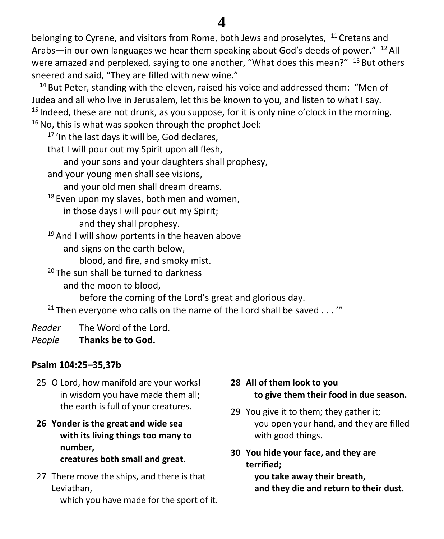belonging to Cyrene, and visitors from Rome, both Jews and proselytes, <sup>11</sup> Cretans and Arabs—in our own languages we hear them speaking about God's deeds of power. $^{\prime\prime}$  12 All were amazed and perplexed, saying to one another, "What does this mean?"  $13$  But others sneered and said, "They are filled with new wine."

 But Peter, standing with the eleven, raised his voice and addressed them: "Men of Judea and all who live in Jerusalem, let this be known to you, and listen to what I say. Indeed, these are not drunk, as you suppose, for it is only nine o'clock in the morning. No, this is what was spoken through the prophet Joel:

 $17$  'In the last days it will be, God declares,

that I will pour out my Spirit upon all flesh,

and your sons and your daughters shall prophesy,

and your young men shall see visions,

and your old men shall dream dreams.

 $18$  Even upon my slaves, both men and women,

in those days I will pour out my Spirit;

and they shall prophesy.

<sup>19</sup> And I will show portents in the heaven above

and signs on the earth below,

blood, and fire, and smoky mist.

<sup>20</sup>The sun shall be turned to darkness

and the moon to blood,

before the coming of the Lord's great and glorious day.

<sup>21</sup> Then everyone who calls on the name of the Lord shall be saved  $\dots$ "

- *Reader* The Word of the Lord.
- *People* **Thanks be to God.**

#### **Psalm 104:25–35,37b**

- 25 O Lord, how manifold are your works! in wisdom you have made them all; the earth is full of your creatures.
- **26 Yonder is the great and wide sea with its living things too many to number, creatures both small and great.**
- 27 There move the ships, and there is that Leviathan, which you have made for the sport of it.

### **28 All of them look to you to give them their food in due season.**

- 29 You give it to them; they gather it; you open your hand, and they are filled with good things.
- **30 You hide your face, and they are terrified;**

**you take away their breath, and they die and return to their dust.**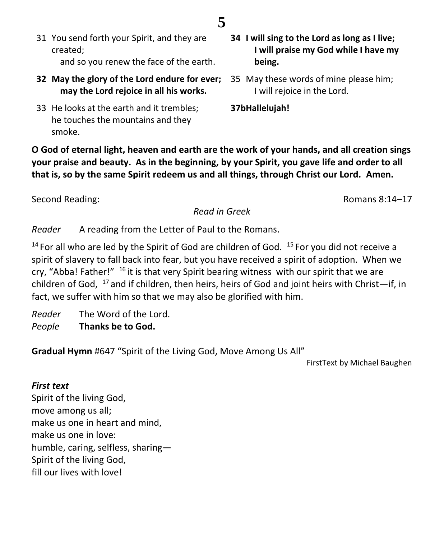- 31 You send forth your Spirit, and they are created; and so you renew the face of the earth.
- **32 May the glory of the Lord endure for ever; may the Lord rejoice in all his works.**
- 33 He looks at the earth and it trembles; he touches the mountains and they smoke.

**O God of eternal light, heaven and earth are the work of your hands, and all creation sings your praise and beauty. As in the beginning, by your Spirit, you gave life and order to all that is, so by the same Spirit redeem us and all things, through Christ our Lord. Amen.**

Second Reading: **Romans 8:14–17** 

*Read in Greek*

*Reader* A reading from the Letter of Paul to the Romans.

 $14$  For all who are led by the Spirit of God are children of God.  $15$  For you did not receive a spirit of slavery to fall back into fear, but you have received a spirit of adoption. When we cry, "Abba! Father!" <sup>16</sup> it is that very Spirit bearing witness with our spirit that we are children of God,  $17$  and if children, then heirs, heirs of God and joint heirs with Christ-if, in fact, we suffer with him so that we may also be glorified with him.

*Reader* The Word of the Lord. *People* **Thanks be to God.**

**Gradual Hymn** #647 "Spirit of the Living God, Move Among Us All"

FirstText by Michael Baughen

### *First text*

Spirit of the living God, move among us all; make us one in heart and mind, make us one in love: humble, caring, selfless, sharing— Spirit of the living God, fill our lives with love!

**34 I will sing to the Lord as long as I live;**

35 May these words of mine please him; I will rejoice in the Lord.

**being.**

**37bHallelujah!**

**I will praise my God while I have my**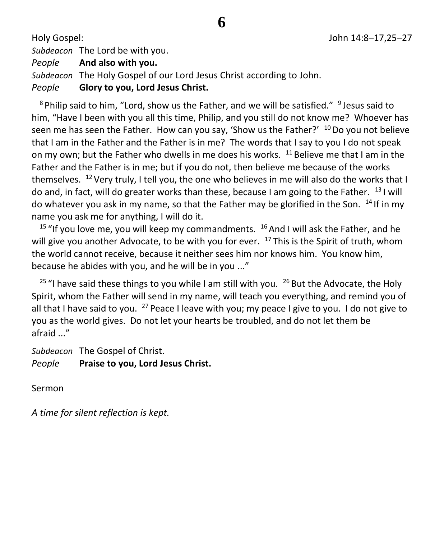Holy Gospel: John 14:8–17,25–27 *Subdeacon* The Lord be with you. *People* **And also with you.** *Subdeacon* The Holy Gospel of our Lord Jesus Christ according to John. *People* **Glory to you, Lord Jesus Christ.**

 $8$ Philip said to him, "Lord, show us the Father, and we will be satisfied."  $9$  Jesus said to him, "Have I been with you all this time, Philip, and you still do not know me? Whoever has seen me has seen the Father. How can you say, 'Show us the Father?'  $10$  Do you not believe that I am in the Father and the Father is in me? The words that I say to you I do not speak on my own; but the Father who dwells in me does his works.  $11$  Believe me that I am in the Father and the Father is in me; but if you do not, then believe me because of the works themselves.  $12$  Very truly, I tell you, the one who believes in me will also do the works that I do and, in fact, will do greater works than these, because I am going to the Father.  $131$  will do whatever you ask in my name, so that the Father may be glorified in the Son.  $14$  If in my name you ask me for anything, I will do it.

<sup>15</sup> "If you love me, you will keep my commandments.  $16$  And I will ask the Father, and he will give you another Advocate, to be with you for ever.  $17$  This is the Spirit of truth, whom the world cannot receive, because it neither sees him nor knows him. You know him, because he abides with you, and he will be in you ..."

<sup>25</sup> "I have said these things to you while I am still with you. <sup>26</sup> But the Advocate, the Holy Spirit, whom the Father will send in my name, will teach you everything, and remind you of all that I have said to you. <sup>27</sup> Peace I leave with you; my peace I give to you. I do not give to you as the world gives. Do not let your hearts be troubled, and do not let them be afraid ..."

*Subdeacon* The Gospel of Christ.

*People* **Praise to you, Lord Jesus Christ.**

Sermon

*A time for silent reflection is kept.*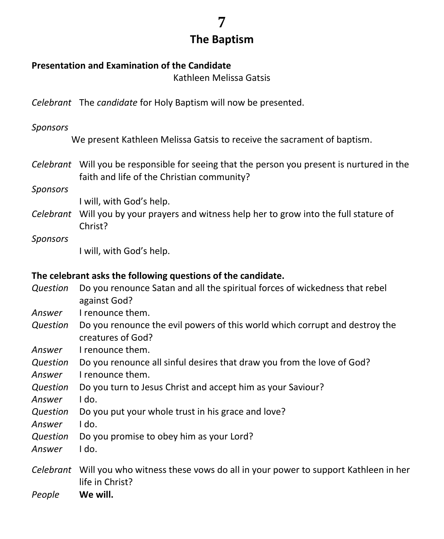### **7 The Baptism**

### **Presentation and Examination of the Candidate**

Kathleen Melissa Gatsis

*Celebrant* The *candidate* for Holy Baptism will now be presented.

#### *Sponsors*

We present Kathleen Melissa Gatsis to receive the sacrament of baptism.

*Celebrant* Will you be responsible for seeing that the person you present is nurtured in the faith and life of the Christian community?

#### *Sponsors*

I will, with God's help.

- *Celebrant* Will you by your prayers and witness help her to grow into the full stature of Christ?
- *Sponsors*

I will, with God's help.

#### **The celebrant asks the following questions of the candidate.**

- *Question* Do you renounce Satan and all the spiritual forces of wickedness that rebel against God?
- *Answer* I renounce them.
- *Question* Do you renounce the evil powers of this world which corrupt and destroy the creatures of God?
- *Answer* I renounce them.
- *Question* Do you renounce all sinful desires that draw you from the love of God?

*Answer* I renounce them.

- *Question* Do you turn to Jesus Christ and accept him as your Saviour?
- *Answer* I do.
- *Question* Do you put your whole trust in his grace and love?
- *Answer* I do.
- *Question* Do you promise to obey him as your Lord?
- *Answer* I do.
- *Celebrant* Will you who witness these vows do all in your power to support Kathleen in her life in Christ?
- *People* **We will.**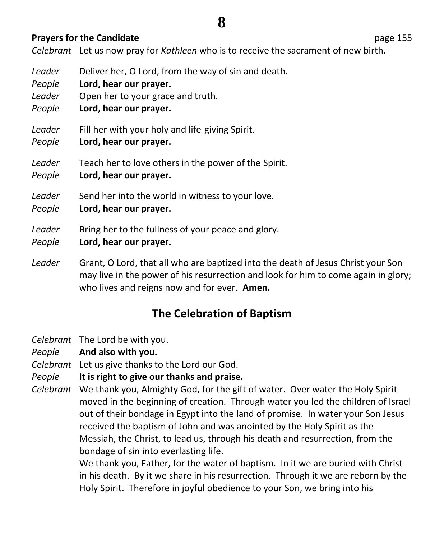### **Prayers for the Candidate** page 155

*Celebrant* Let us now pray for *Kathleen* who is to receive the sacrament of new birth.

- *Leader* Deliver her, O Lord, from the way of sin and death.
- *People* **Lord, hear our prayer.**
- *Leader* Open her to your grace and truth.

*People* **Lord, hear our prayer.**

- *Leader* Fill her with your holy and life-giving Spirit.
- *People* **Lord, hear our prayer.**
- *Leader* Teach her to love others in the power of the Spirit.
- *People* **Lord, hear our prayer.**
- *Leader* Send her into the world in witness to your love.
- *People* **Lord, hear our prayer.**
- *Leader* Bring her to the fullness of your peace and glory.
- *People* **Lord, hear our prayer.**
- *Leader* Grant, O Lord, that all who are baptized into the death of Jesus Christ your Son may live in the power of his resurrection and look for him to come again in glory; who lives and reigns now and for ever. **Amen.**

### **The Celebration of Baptism**

- *Celebrant* The Lord be with you.
- *People* **And also with you.**
- *Celebrant* Let us give thanks to the Lord our God.
- *People* **It is right to give our thanks and praise.**
- *Celebrant* We thank you, Almighty God, for the gift of water. Over water the Holy Spirit moved in the beginning of creation. Through water you led the children of Israel out of their bondage in Egypt into the land of promise. In water your Son Jesus received the baptism of John and was anointed by the Holy Spirit as the Messiah, the Christ, to lead us, through his death and resurrection, from the bondage of sin into everlasting life.

We thank you, Father, for the water of baptism. In it we are buried with Christ in his death. By it we share in his resurrection. Through it we are reborn by the Holy Spirit. Therefore in joyful obedience to your Son, we bring into his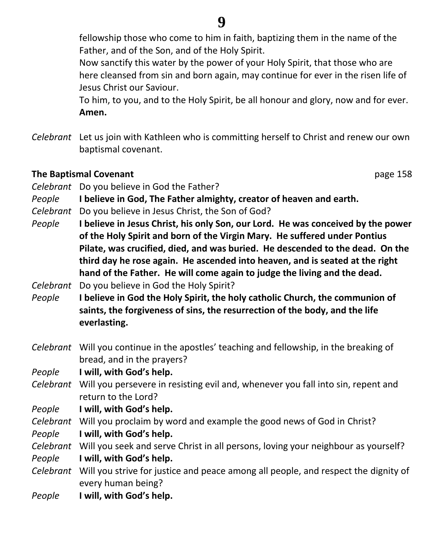fellowship those who come to him in faith, baptizing them in the name of the Father, and of the Son, and of the Holy Spirit.

Now sanctify this water by the power of your Holy Spirit, that those who are here cleansed from sin and born again, may continue for ever in the risen life of Jesus Christ our Saviour.

To him, to you, and to the Holy Spirit, be all honour and glory, now and for ever. **Amen.**

*Celebrant* Let us join with Kathleen who is committing herself to Christ and renew our own baptismal covenant.

### **The Baptismal Covenant** page 158

- *Celebrant* Do you believe in God the Father?
- *People* **I believe in God, The Father almighty, creator of heaven and earth.**
- *Celebrant* Do you believe in Jesus Christ, the Son of God?
- *People* **I believe in Jesus Christ, his only Son, our Lord. He was conceived by the power of the Holy Spirit and born of the Virgin Mary. He suffered under Pontius Pilate, was crucified, died, and was buried. He descended to the dead. On the third day he rose again. He ascended into heaven, and is seated at the right hand of the Father. He will come again to judge the living and the dead.**
- *Celebrant* Do you believe in God the Holy Spirit?
- *People* **I believe in God the Holy Spirit, the holy catholic Church, the communion of saints, the forgiveness of sins, the resurrection of the body, and the life everlasting.**
- *Celebrant* Will you continue in the apostles' teaching and fellowship, in the breaking of bread, and in the prayers?

*People* **I will, with God's help.**

*Celebrant* Will you persevere in resisting evil and, whenever you fall into sin, repent and return to the Lord?

*People* **I will, with God's help.**

*Celebrant* Will you proclaim by word and example the good news of God in Christ?

*People* **I will, with God's help.**

*Celebrant* Will you seek and serve Christ in all persons, loving your neighbour as yourself?

*People* **I will, with God's help.**

- *Celebrant* Will you strive for justice and peace among all people, and respect the dignity of every human being?
- *People* **I will, with God's help.**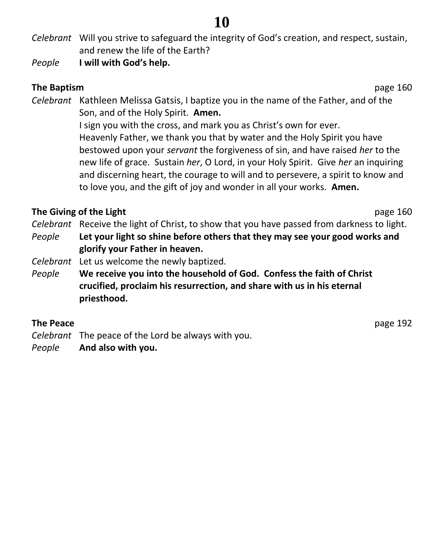- *Celebrant* Will you strive to safeguard the integrity of God's creation, and respect, sustain, and renew the life of the Earth?
- *People* **I will with God's help.**

### **The Baptism** page 160

*Celebrant* Kathleen Melissa Gatsis, I baptize you in the name of the Father, and of the Son, and of the Holy Spirit. **Amen.** I sign you with the cross, and mark you as Christ's own for ever. Heavenly Father, we thank you that by water and the Holy Spirit you have bestowed upon your *servant* the forgiveness of sin, and have raised *her* to the new life of grace. Sustain *her*, O Lord, in your Holy Spirit. Give *her* an inquiring and discerning heart, the courage to will and to persevere, a spirit to know and to love you, and the gift of joy and wonder in all your works. **Amen.**

### **The Giving of the Light** page 160

- *Celebrant* Receive the light of Christ, to show that you have passed from darkness to light.
- *People* **Let your light so shine before others that they may see your good works and glorify your Father in heaven.**
- *Celebrant* Let us welcome the newly baptized.
- *People* **We receive you into the household of God. Confess the faith of Christ crucified, proclaim his resurrection, and share with us in his eternal priesthood.**

### **The Peace** page 192

*Celebrant* The peace of the Lord be always with you.

*People* **And also with you.**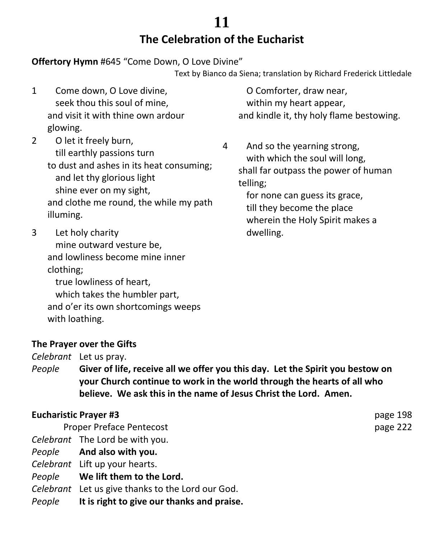### **11 The Celebration of the Eucharist**

### **Offertory Hymn** #645 "Come Down, O Love Divine"

Text by Bianco da Siena; translation by Richard Frederick Littledale O Comforter, draw near,

- 1 Come down, O Love divine, seek thou this soul of mine, and visit it with thine own ardour glowing.
- 2 O let it freely burn, till earthly passions turn to dust and ashes in its heat consuming; and let thy glorious light shine ever on my sight, and clothe me round, the while my path illuming.
- 3 Let holy charity mine outward vesture be, and lowliness become mine inner clothing; true lowliness of heart, which takes the humbler part, and o'er its own shortcomings weeps with loathing.

# within my heart appear, and kindle it, thy holy flame bestowing.

4 And so the yearning strong, with which the soul will long, shall far outpass the power of human telling;

for none can guess its grace, till they become the place wherein the Holy Spirit makes a dwelling.

### **The Prayer over the Gifts**

*Celebrant* Let us pray.

*People* **Giver of life, receive all we offer you this day. Let the Spirit you bestow on your Church continue to work in the world through the hearts of all who believe. We ask this in the name of Jesus Christ the Lord. Amen.**

| <b>Eucharistic Prayer #3</b> |                                                   | page 198 |
|------------------------------|---------------------------------------------------|----------|
| Proper Preface Pentecost     |                                                   | page 222 |
|                              | Celebrant The Lord be with you.                   |          |
|                              | People And also with you.                         |          |
|                              | Celebrant Lift up your hearts.                    |          |
| People                       | We lift them to the Lord.                         |          |
|                              | Celebrant Let us give thanks to the Lord our God. |          |
| People                       | It is right to give our thanks and praise.        |          |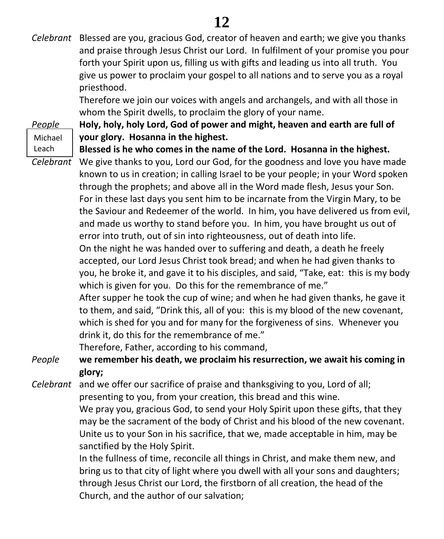*Celebrant* Blessed are you, gracious God, creator of heaven and earth; we give you thanks and praise through Jesus Christ our Lord. In fulfilment of your promise you pour forth your Spirit upon us, filling us with gifts and leading us into all truth. You give us power to proclaim your gospel to all nations and to serve you as a royal priesthood.

> Therefore we join our voices with angels and archangels, and with all those in whom the Spirit dwells, to proclaim the glory of your name.

*People* **Holy, holy, holy Lord, God of power and might, heaven and earth are full of your glory. Hosanna in the highest.** Michael

### Leach

**Blessed is he who comes in the name of the Lord. Hosanna in the highest.** *Celebrant* We give thanks to you, Lord our God, for the goodness and love you have made known to us in creation; in calling Israel to be your people; in your Word spoken through the prophets; and above all in the Word made flesh, Jesus your Son. For in these last days you sent him to be incarnate from the Virgin Mary, to be the Saviour and Redeemer of the world. In him, you have delivered us from evil, and made us worthy to stand before you. In him, you have brought us out of error into truth, out of sin into righteousness, out of death into life.

> On the night he was handed over to suffering and death, a death he freely accepted, our Lord Jesus Christ took bread; and when he had given thanks to you, he broke it, and gave it to his disciples, and said, "Take, eat: this is my body which is given for you. Do this for the remembrance of me."

After supper he took the cup of wine; and when he had given thanks, he gave it to them, and said, "Drink this, all of you: this is my blood of the new covenant, which is shed for you and for many for the forgiveness of sins. Whenever you drink it, do this for the remembrance of me."

Therefore, Father, according to his command,

*People* **we remember his death, we proclaim his resurrection, we await his coming in glory;**

*Celebrant* and we offer our sacrifice of praise and thanksgiving to you, Lord of all; presenting to you, from your creation, this bread and this wine. We pray you, gracious God, to send your Holy Spirit upon these gifts, that they may be the sacrament of the body of Christ and his blood of the new covenant. Unite us to your Son in his sacrifice, that we, made acceptable in him, may be sanctified by the Holy Spirit.

In the fullness of time, reconcile all things in Christ, and make them new, and bring us to that city of light where you dwell with all your sons and daughters; through Jesus Christ our Lord, the firstborn of all creation, the head of the Church, and the author of our salvation;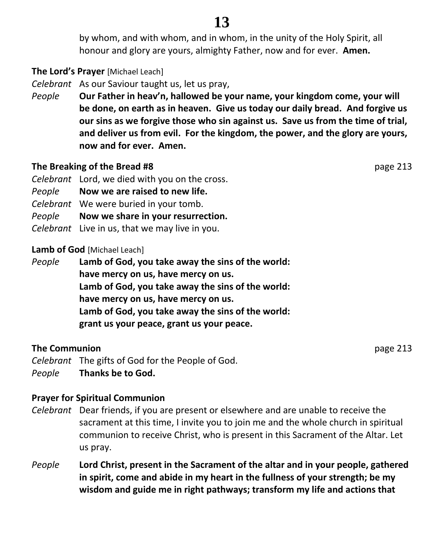by whom, and with whom, and in whom, in the unity of the Holy Spirit, all honour and glory are yours, almighty Father, now and for ever. **Amen.**

### **The Lord's Prayer** [Michael Leach]

*Celebrant* As our Saviour taught us, let us pray,

*People* **Our Father in heav'n, hallowed be your name, your kingdom come, your will be done, on earth as in heaven. Give us today our daily bread. And forgive us our sins as we forgive those who sin against us. Save us from the time of trial, and deliver us from evil. For the kingdom, the power, and the glory are yours, now and for ever. Amen.**

### **The Breaking of the Bread #8** page 213

- *Celebrant* Lord, we died with you on the cross.
- *People* **Now we are raised to new life.**
- *Celebrant* We were buried in your tomb.
- *People* **Now we share in your resurrection.**
- *Celebrant* Live in us, that we may live in you.

#### **Lamb of God** [Michael Leach]

*People* **Lamb of God, you take away the sins of the world: have mercy on us, have mercy on us. Lamb of God, you take away the sins of the world: have mercy on us, have mercy on us. Lamb of God, you take away the sins of the world: grant us your peace, grant us your peace.**

#### **The Communion** page 213

*Celebrant* The gifts of God for the People of God.

*People* **Thanks be to God.**

#### **Prayer for Spiritual Communion**

- *Celebrant* Dear friends, if you are present or elsewhere and are unable to receive the sacrament at this time, I invite you to join me and the whole church in spiritual communion to receive Christ, who is present in this Sacrament of the Altar. Let us pray.
- *People* **Lord Christ, present in the Sacrament of the altar and in your people, gathered in spirit, come and abide in my heart in the fullness of your strength; be my wisdom and guide me in right pathways; transform my life and actions that**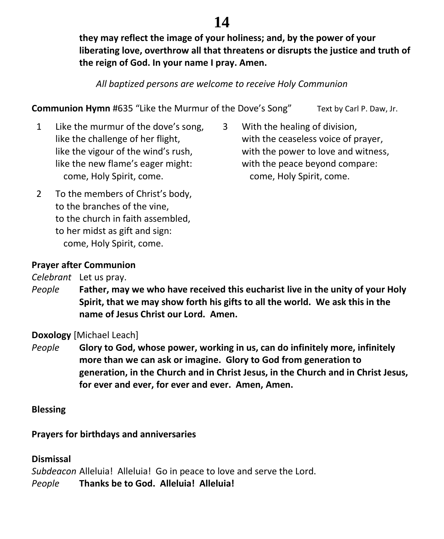**they may reflect the image of your holiness; and, by the power of your liberating love, overthrow all that threatens or disrupts the justice and truth of the reign of God. In your name I pray. Amen.**

*All baptized persons are welcome to receive Holy Communion* 

**Communion Hymn** #635 "Like the Murmur of the Dove's Song" Text by Carl P. Daw, Jr.

- 1 Like the murmur of the dove's song, like the challenge of her flight, like the vigour of the wind's rush, like the new flame's eager might: come, Holy Spirit, come.
- 3 With the healing of division, with the ceaseless voice of prayer, with the power to love and witness, with the peace beyond compare: come, Holy Spirit, come.
- 2 To the members of Christ's body, to the branches of the vine, to the church in faith assembled, to her midst as gift and sign: come, Holy Spirit, come.

#### **Prayer after Communion**

*Celebrant* Let us pray.

*People* **Father, may we who have received this eucharist live in the unity of your Holy Spirit, that we may show forth his gifts to all the world. We ask this in the name of Jesus Christ our Lord. Amen.**

**Doxology** [Michael Leach]

*People* **Glory to God, whose power, working in us, can do infinitely more, infinitely more than we can ask or imagine. Glory to God from generation to generation, in the Church and in Christ Jesus, in the Church and in Christ Jesus, for ever and ever, for ever and ever. Amen, Amen.**

#### **Blessing**

### **Prayers for birthdays and anniversaries**

### **Dismissal**

*Subdeacon* Alleluia! Alleluia! Go in peace to love and serve the Lord.

*People* **Thanks be to God. Alleluia! Alleluia!**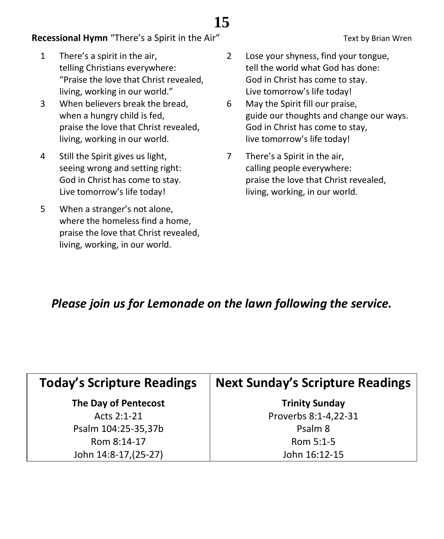### **Recessional Hymn** "There's a Spirit in the Air" Text by Brian Wren

- 1 There's a spirit in the air, telling Christians everywhere: "Praise the love that Christ revealed, living, working in our world."
- 3 When believers break the bread, when a hungry child is fed, praise the love that Christ revealed, living, working in our world.
- 4 Still the Spirit gives us light, seeing wrong and setting right: God in Christ has come to stay. Live tomorrow's life today!
- 5 When a stranger's not alone, where the homeless find a home, praise the love that Christ revealed, living, working, in our world.
- 2 Lose your shyness, find your tongue, tell the world what God has done: God in Christ has come to stay. Live tomorrow's life today!
- 6 May the Spirit fill our praise, guide our thoughts and change our ways. God in Christ has come to stay, live tomorrow's life today!
- 7 There's a Spirit in the air, calling people everywhere: praise the love that Christ revealed, living, working, in our world.

### *Please join us for Lemonade on the lawn following the service.*

| <b>Today's Scripture Readings</b> | <b>Next Sunday's Scripture Readings</b> |
|-----------------------------------|-----------------------------------------|
| The Day of Pentecost              | <b>Trinity Sunday</b>                   |
| Acts 2:1-21                       | Proverbs 8:1-4,22-31                    |
| Psalm 104:25-35,37b               | Psalm 8                                 |
| Rom 8:14-17                       | Rom 5:1-5                               |
| John 14:8-17, (25-27)             | John 16:12-15                           |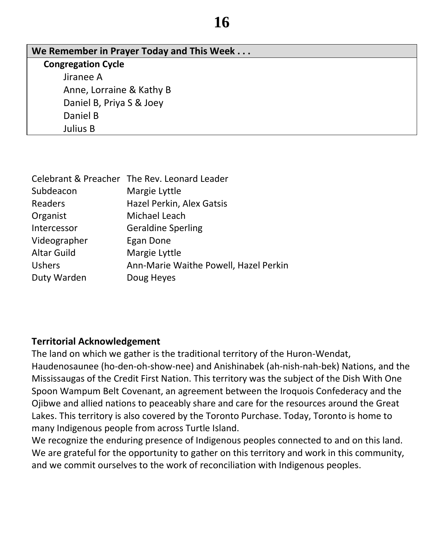| <b>Congregation Cycle</b> |
|---------------------------|
|                           |
| Jiranee A                 |
| Anne, Lorraine & Kathy B  |
| Daniel B, Priya S & Joey  |
| Daniel B                  |
| Julius B                  |

| Celebrant & Preacher The Rev. Leonard Leader |
|----------------------------------------------|
| Margie Lyttle                                |
| Hazel Perkin, Alex Gatsis                    |
| Michael Leach                                |
| <b>Geraldine Sperling</b>                    |
| Egan Done                                    |
| Margie Lyttle                                |
| Ann-Marie Waithe Powell, Hazel Perkin        |
| Doug Heyes                                   |
|                                              |

### **Territorial Acknowledgement**

The land on which we gather is the traditional territory of the Huron-Wendat, Haudenosaunee (ho-den-oh-show-nee) and Anishinabek (ah-nish-nah-bek) Nations, and the Mississaugas of the Credit First Nation. This territory was the subject of the Dish With One Spoon Wampum Belt Covenant, an agreement between the Iroquois Confederacy and the Ojibwe and allied nations to peaceably share and care for the resources around the Great Lakes. This territory is also covered by the Toronto Purchase. Today, Toronto is home to many Indigenous people from across Turtle Island.

We recognize the enduring presence of Indigenous peoples connected to and on this land. We are grateful for the opportunity to gather on this territory and work in this community, and we commit ourselves to the work of reconciliation with Indigenous peoples.